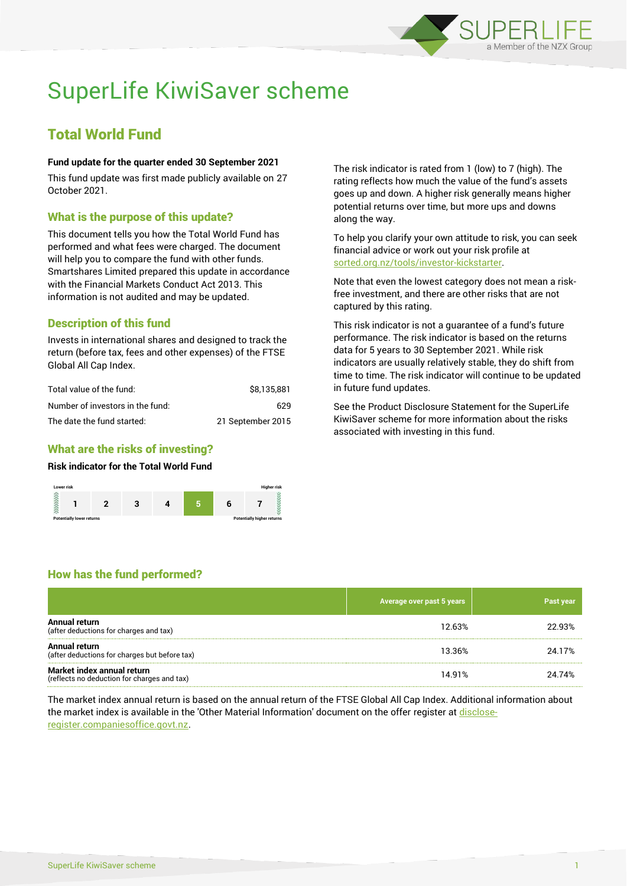

# SuperLife KiwiSaver scheme

## Total World Fund

## **Fund update for the quarter ended 30 September 2021**

This fund update was first made publicly available on 27 October 2021.

## What is the purpose of this update?

This document tells you how the Total World Fund has performed and what fees were charged. The document will help you to compare the fund with other funds. Smartshares Limited prepared this update in accordance with the Financial Markets Conduct Act 2013. This information is not audited and may be updated.

## Description of this fund

Invests in international shares and designed to track the return (before tax, fees and other expenses) of the FTSE Global All Cap Index.

| Total value of the fund:         | \$8.135.881       |
|----------------------------------|-------------------|
| Number of investors in the fund: | 629               |
| The date the fund started:       | 21 September 2015 |

## What are the risks of investing?

## **Risk indicator for the Total World Fund**



The risk indicator is rated from 1 (low) to 7 (high). The rating reflects how much the value of the fund's assets goes up and down. A higher risk generally means higher potential returns over time, but more ups and downs along the way.

To help you clarify your own attitude to risk, you can seek financial advice or work out your risk profile at [sorted.org.nz/tools/investor-kickstarter.](http://www.sorted.org.nz/tools/investor-kickstarter)

Note that even the lowest category does not mean a riskfree investment, and there are other risks that are not captured by this rating.

This risk indicator is not a guarantee of a fund's future performance. The risk indicator is based on the returns data for 5 years to 30 September 2021. While risk indicators are usually relatively stable, they do shift from time to time. The risk indicator will continue to be updated in future fund updates.

See the Product Disclosure Statement for the SuperLife KiwiSaver scheme for more information about the risks associated with investing in this fund.

## How has the fund performed?

|                                                                           | Average over past 5 years | Past year |
|---------------------------------------------------------------------------|---------------------------|-----------|
| Annual return<br>(after deductions for charges and tax)                   | 12.63%                    | 22.93%    |
| Annual return<br>(after deductions for charges but before tax)            | 13.36%                    | 24.17%    |
| Market index annual return<br>(reflects no deduction for charges and tax) | 14.91%                    | 24.74%    |

The market index annual return is based on the annual return of the FTSE Global All Cap Index. Additional information about the market index is available in the 'Other Material Information' document on the offer register at [disclose](http://www.disclose-register.companiesoffice.govt.nz/)[register.companiesoffice.govt.nz.](http://www.disclose-register.companiesoffice.govt.nz/)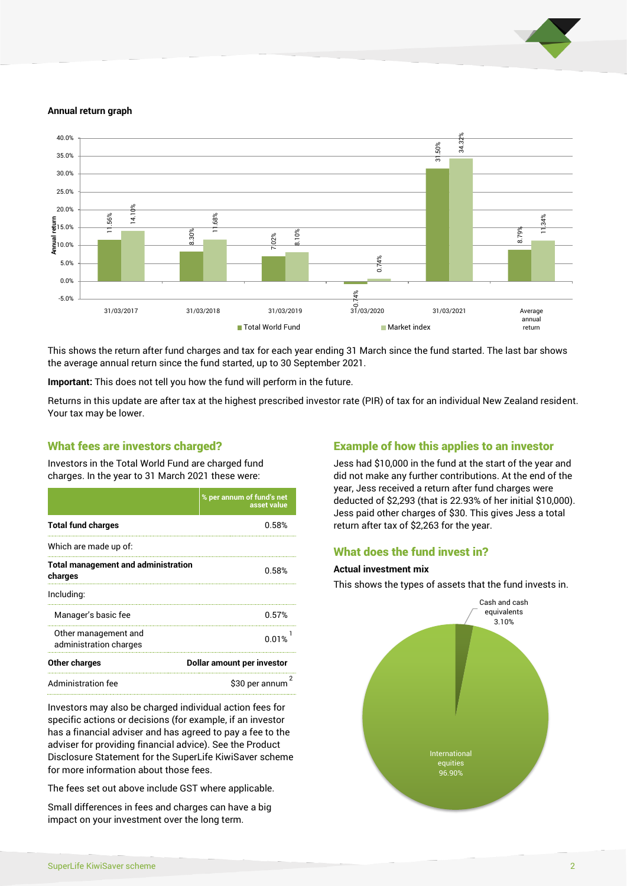

#### **Annual return graph**



This shows the return after fund charges and tax for each year ending 31 March since the fund started. The last bar shows the average annual return since the fund started, up to 30 September 2021.

**Important:** This does not tell you how the fund will perform in the future.

Returns in this update are after tax at the highest prescribed investor rate (PIR) of tax for an individual New Zealand resident. Your tax may be lower.

## What fees are investors charged?

Investors in the Total World Fund are charged fund charges. In the year to 31 March 2021 these were:

|                                                       | % per annum of fund's net<br>asset value |  |
|-------------------------------------------------------|------------------------------------------|--|
| <b>Total fund charges</b>                             | 0.58%                                    |  |
| Which are made up of:                                 |                                          |  |
| <b>Total management and administration</b><br>charges | 0.58%                                    |  |
| Including:                                            |                                          |  |
| Manager's basic fee                                   | 0.57%                                    |  |
| Other management and<br>administration charges        | 0.01%                                    |  |
| Other charges                                         | Dollar amount per investor               |  |
| Administration fee                                    | \$30 per annum                           |  |

Investors may also be charged individual action fees for specific actions or decisions (for example, if an investor has a financial adviser and has agreed to pay a fee to the adviser for providing financial advice). See the Product Disclosure Statement for the SuperLife KiwiSaver scheme for more information about those fees.

The fees set out above include GST where applicable.

Small differences in fees and charges can have a big impact on your investment over the long term.

## Example of how this applies to an investor

Jess had \$10,000 in the fund at the start of the year and did not make any further contributions. At the end of the year, Jess received a return after fund charges were deducted of \$2,293 (that is 22.93% of her initial \$10,000). Jess paid other charges of \$30. This gives Jess a total return after tax of \$2,263 for the year.

## What does the fund invest in?

#### **Actual investment mix**

This shows the types of assets that the fund invests in.

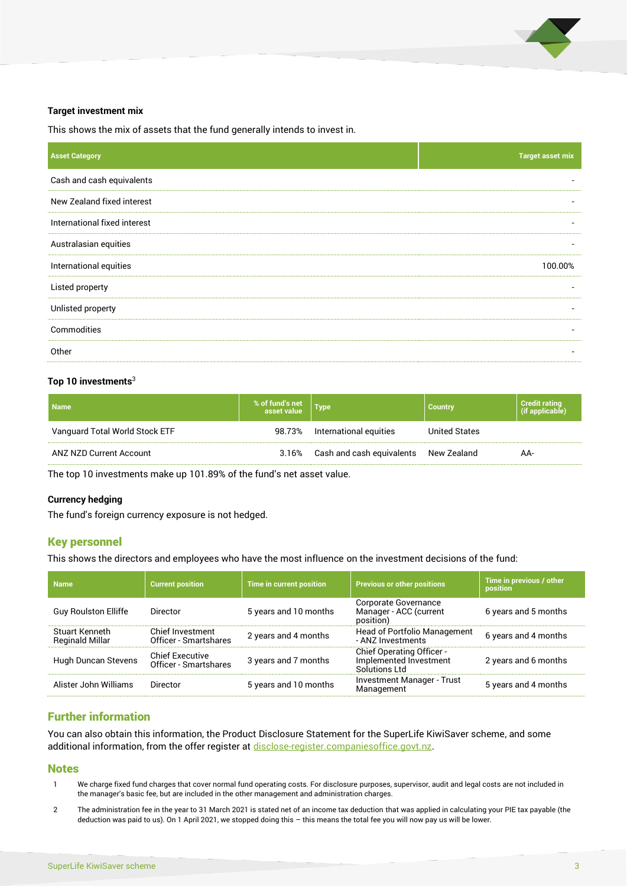

#### **Target investment mix**

This shows the mix of assets that the fund generally intends to invest in.

| <b>Asset Category</b>        | <b>Target asset mix</b>  |
|------------------------------|--------------------------|
| Cash and cash equivalents    |                          |
| New Zealand fixed interest   |                          |
| International fixed interest | -                        |
| Australasian equities        | $\overline{\phantom{a}}$ |
| International equities       | 100.00%                  |
| Listed property              |                          |
| Unlisted property            |                          |
| Commodities                  |                          |
| Other                        |                          |

#### **Top 10 investments**<sup>3</sup>

| <b>Name</b>                    | % of fund's net<br>asset value | Type                                  | <b>Country</b>       | Credit rating<br>  (if applicable) |
|--------------------------------|--------------------------------|---------------------------------------|----------------------|------------------------------------|
| Vanguard Total World Stock ETF | 98.73%                         | International equities                | <b>United States</b> |                                    |
| ANZ NZD Current Account        | 3.16%                          | Cash and cash equivalents New Zealand |                      | AA-                                |

The top 10 investments make up 101.89% of the fund's net asset value.

#### **Currency hedging**

The fund's foreign currency exposure is not hedged.

## Key personnel

This shows the directors and employees who have the most influence on the investment decisions of the fund:

| <b>Name</b>                              | <b>Current position</b>                         | Time in current position | <b>Previous or other positions</b>                                          | Time in previous / other<br>position |
|------------------------------------------|-------------------------------------------------|--------------------------|-----------------------------------------------------------------------------|--------------------------------------|
| <b>Guy Roulston Elliffe</b>              | Director                                        | 5 years and 10 months    | Corporate Governance<br>Manager - ACC (current<br>position)                 | 6 years and 5 months                 |
| Stuart Kenneth<br><b>Reginald Millar</b> | Chief Investment<br>Officer - Smartshares       | 2 years and 4 months     | Head of Portfolio Management<br>- ANZ Investments                           | 6 years and 4 months                 |
| Hugh Duncan Stevens                      | <b>Chief Executive</b><br>Officer - Smartshares | 3 years and 7 months     | <b>Chief Operating Officer -</b><br>Implemented Investment<br>Solutions Ltd | 2 years and 6 months                 |
| Alister John Williams                    | Director                                        | 5 years and 10 months    | <b>Investment Manager - Trust</b><br>Management                             | 5 years and 4 months                 |

## Further information

You can also obtain this information, the Product Disclosure Statement for the SuperLife KiwiSaver scheme, and some additional information, from the offer register a[t disclose-register.companiesoffice.govt.nz.](http://www.disclose-register.companiesoffice.govt.nz/)

## **Notes**

- 1 We charge fixed fund charges that cover normal fund operating costs. For disclosure purposes, supervisor, audit and legal costs are not included in the manager's basic fee, but are included in the other management and administration charges.
- 2 The administration fee in the year to 31 March 2021 is stated net of an income tax deduction that was applied in calculating your PIE tax payable (the deduction was paid to us). On 1 April 2021, we stopped doing this – this means the total fee you will now pay us will be lower.